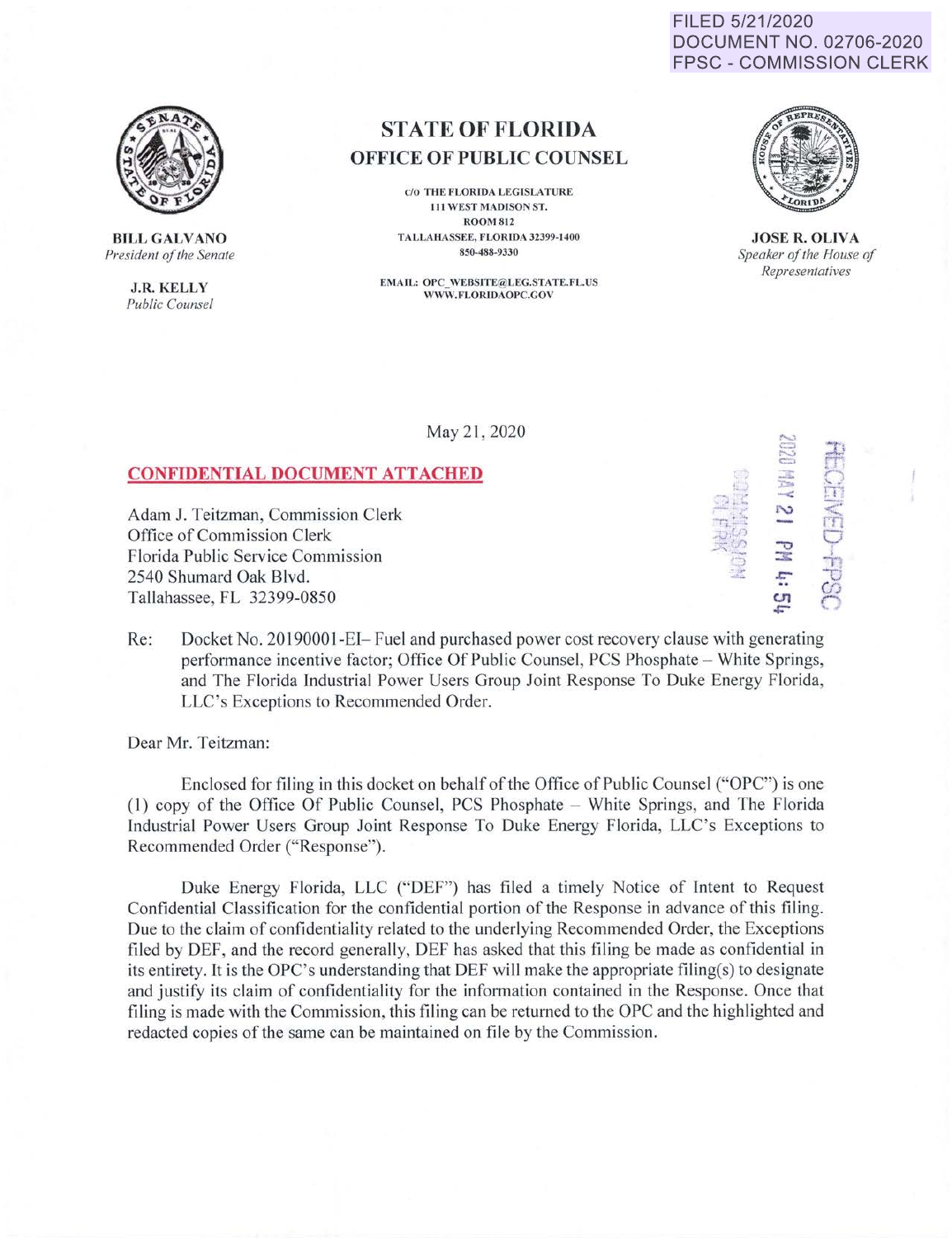FILED 5/21/2020 **DOCUMENT NO. 02706-2020 FPSC - COMMISSION CLERK** 



**BILL GALVANO** President of the Senate

> **J.R. KELLY** Public Counsel

## **STATE OF FLORIDA OFFICE OF PUBLIC COUNSEL**

C/O THE FLORIDA LEGISLATURE 111 WEST MADISON ST. **ROOM 812** TALLAHASSEE, FLORIDA 32399-1400 850-488-9330

**EMAIL: OPC WEBSITE@LEG.STATE.FL.US** WWW.FLORIDAOPC.GOV



**JOSE R. OLIVA** Speaker of the House of Representatives

**CH-OBALEC** 

11 附件:

May 21, 2020

## **CONFIDENTIAL DOCUMENT ATTACHED**

Adam J. Teitzman, Commission Clerk Office of Commission Clerk Florida Public Service Commission 2540 Shumard Oak Blvd. Tallahassee, FL 32399-0850

Docket No. 20190001-EI- Fuel and purchased power cost recovery clause with generating Re: performance incentive factor; Office Of Public Counsel, PCS Phosphate – White Springs, and The Florida Industrial Power Users Group Joint Response To Duke Energy Florida, LLC's Exceptions to Recommended Order.

Dear Mr. Teitzman:

Enclosed for filing in this docket on behalf of the Office of Public Counsel ("OPC") is one (1) copy of the Office Of Public Counsel, PCS Phosphate - White Springs, and The Florida Industrial Power Users Group Joint Response To Duke Energy Florida, LLC's Exceptions to Recommended Order ("Response").

Duke Energy Florida, LLC ("DEF") has filed a timely Notice of Intent to Request Confidential Classification for the confidential portion of the Response in advance of this filing. Due to the claim of confidentiality related to the underlying Recommended Order, the Exceptions filed by DEF, and the record generally, DEF has asked that this filing be made as confidential in its entirety. It is the OPC's understanding that DEF will make the appropriate filing(s) to designate and justify its claim of confidentiality for the information contained in the Response. Once that filing is made with the Commission, this filing can be returned to the OPC and the highlighted and redacted copies of the same can be maintained on file by the Commission.